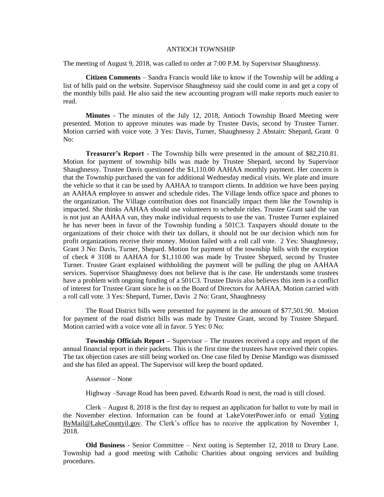## ANTIOCH TOWNSHIP

The meeting of August 9, 2018, was called to order at 7:00 P.M. by Supervisor Shaughnessy.

**Citizen Comments** – Sandra Francis would like to know if the Township will be adding a list of bills paid on the website. Supervisor Shaughnessy said she could come in and get a copy of the monthly bills paid. He also said the new accounting program will make reports much easier to read.

**Minutes** - The minutes of the July 12, 2018, Antioch Township Board Meeting were presented. Motion to approve minutes was made by Trustee Davis, second by Trustee Turner. Motion carried with voice vote. 3 Yes: Davis, Turner, Shaughnessy 2 Abstain: Shepard, Grant 0 No:

**Treasurer's Report** - The Township bills were presented in the amount of \$82,210.81. Motion for payment of township bills was made by Trustee Shepard, second by Supervisor Shaughnessy. Trustee Davis questioned the \$1,110.00 AAHAA monthly payment. Her concern is that the Township purchased the van for additional Wednesday medical visits. We plate and insure the vehicle so that it can be used by AAHAA to transport clients. In addition we have been paying an AAHAA employee to answer and schedule rides. The Village lends office space and phones to the organization. The Village contribution does not financially impact them like the Township is impacted. She thinks AAHAA should use volunteers to schedule rides. Trustee Grant said the van is not just an AAHAA van, they make individual requests to use the van. Trustee Turner explained he has never been in favor of the Township funding a 501C3. Taxpayers should donate to the organizations of their choice with their tax dollars, it should not be our decision which non for profit organizations receive their money. Motion failed with a roll call vote. 2 Yes: Shaughnessy, Grant 3 No: Davis, Turner, Shepard. Motion for payment of the township bills with the exception of check # 3108 to AAHAA for \$1,110.00 was made by Trustee Shepard, second by Trustee Turner. Trustee Grant explained withholding the payment will be pulling the plug on AAHAA services. Supervisor Shaughnessy does not believe that is the case. He understands some trustees have a problem with ongoing funding of a 501C3. Trustee Davis also believes this item is a conflict of interest for Trustee Grant since he is on the Board of Directors for AAHAA. Motion carried with a roll call vote. 3 Yes: Shepard, Turner, Davis 2 No: Grant, Shaughnessy

The Road District bills were presented for payment in the amount of \$77,501.90. Motion for payment of the road district bills was made by Trustee Grant, second by Trustee Shepard. Motion carried with a voice vote all in favor. 5 Yes: 0 No:

**Township Officials Report –** Supervisor – The trustees received a copy and report of the annual financial report in their packets. This is the first time the trustees have received their copies. The tax objection cases are still being worked on. One case filed by Denise Mandigo was dismissed and she has filed an appeal. The Supervisor will keep the board updated.

Assessor – None

Highway –Savage Road has been paved. Edwards Road is next, the road is still closed.

Clerk – August 8, 2018 is the first day to request an application for ballot to vote by mail in the November election. Information can be found at LakeVoterPower.info or email Voting [ByMail@LakeCountyil.gov.](mailto:ByMail@LakeCountyil.gov) The Clerk's office has to receive the application by November 1, 2018.

**Old Business** - Senior Committee – Next outing is September 12, 2018 to Drury Lane. Township had a good meeting with Catholic Charities about ongoing services and building procedures.